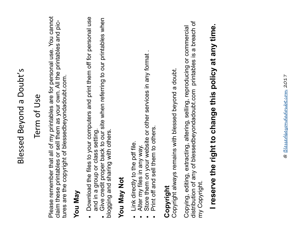## Blessed Beyond a Doubt's Blessed Beyond a Doubt's

## Term of Use

Please remember that all of my printables are for personal use. You cannot Please remember that all of my printables are for personal use. You cannot claim these printables or sell them as your own. All the printables and picclaim these printables or sell them as your own. All the printables and pictures are the copyright of blessedbeyondadoubt.com. tures are the copyright of blessedbeyondadoubt.com.

### **You May**

- Download the files to your computers and print them off for personal use Download the files to your computers and print them off for personal use and in a group or class setting. and in a group or class setting. 0
	- Give credit proper back to our site when referring to our printables when Give credit proper back to our site when referring to our printables when blogging and sharing with others. blogging and sharing with others. 0

### **You May Not You May Not**

- Link directly to the pdf file. Link directly to the pdf file. 0
	- Alter my files in any way. Alter my files in any way. 0
- Store them on your website or other services in any format. Store them on your website or other services in any format . 0
	- Print off and sell them to others. Print off and sell them to others. 0

**Copyright**<br>Copyright always remains with blessed beyond a doubt. Copyright always remains with blessed beyond a doubt.

distribution of any of blessedbeyondadoubt.com printables is a breach of distribution of any of blessedbeyondadoubt.com printables is a breach of Copying, editing, extracting, altering, selling, reproducing or commercial Copying, editing, extracting, altering, selling, reproducing or commercial my Copyright. my Copyright

# I reserve the right to change this policy at any time. **I reserve the right to change this policy at any time.**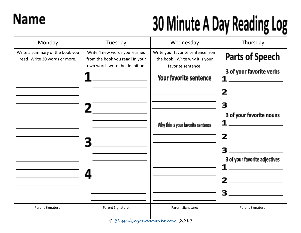### **Name**

### 30 Minute A Day Reading Log

| Monday                                                           | Tuesday                                                                                             | Wednesday                                                                                                                                                 | Thursday                                                                                                                                                                  |
|------------------------------------------------------------------|-----------------------------------------------------------------------------------------------------|-----------------------------------------------------------------------------------------------------------------------------------------------------------|---------------------------------------------------------------------------------------------------------------------------------------------------------------------------|
| Write a summary of the book you<br>read! Write 30 words or more. | Write 4 new words you learned<br>from the book you read! In your<br>own words write the definition. | Write your favorite sentence from<br>the book! Write why it is your<br>favorite sentence.<br>Your favorite sentence<br>Why this is your favorite sentence | <b>Parts of Speech</b><br>3 of your favorite verbs<br>1<br>$\overline{\mathbf{2}}$<br>3<br>3 of your favorite nouns<br>$\mathbf{2}$<br>3 of your favorite adjectives<br>3 |
| Parent Signature:                                                | Parent Signature:                                                                                   | Parent Signature:                                                                                                                                         | Parent Signature:                                                                                                                                                         |